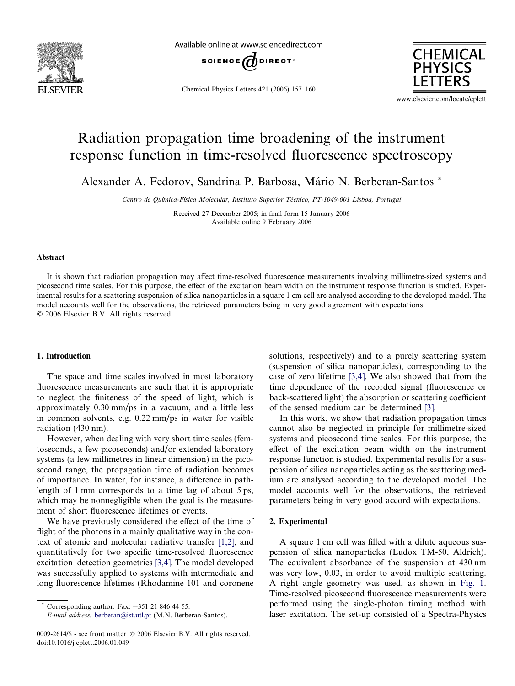<span id="page-0-0"></span>

Available online at www.sciencedirect.com



Chemical Physics Letters 421 (2006) 157–160



www.elsevier.com/locate/cplett

# Radiation propagation time broadening of the instrument response function in time-resolved fluorescence spectroscopy

Alexander A. Fedorov, Sandrina P. Barbosa, Mário N. Berberan-Santos \*

Centro de Química-Física Molecular, Instituto Superior Técnico, PT-1049-001 Lisboa, Portugal

Received 27 December 2005; in final form 15 January 2006 Available online 9 February 2006

#### Abstract

It is shown that radiation propagation may affect time-resolved fluorescence measurements involving millimetre-sized systems and picosecond time scales. For this purpose, the effect of the excitation beam width on the instrument response function is studied. Experimental results for a scattering suspension of silica nanoparticles in a square 1 cm cell are analysed according to the developed model. The model accounts well for the observations, the retrieved parameters being in very good agreement with expectations. © 2006 Elsevier B.V. All rights reserved.

#### 1. Introduction

The space and time scales involved in most laboratory fluorescence measurements are such that it is appropriate to neglect the finiteness of the speed of light, which is approximately 0.30 mm/ps in a vacuum, and a little less in common solvents, e.g. 0.22 mm/ps in water for visible radiation (430 nm).

However, when dealing with very short time scales (femtoseconds, a few picoseconds) and/or extended laboratory systems (a few millimetres in linear dimension) in the picosecond range, the propagation time of radiation becomes of importance. In water, for instance, a difference in pathlength of 1 mm corresponds to a time lag of about 5 ps, which may be nonnegligible when the goal is the measurement of short fluorescence lifetimes or events.

We have previously considered the effect of the time of flight of the photons in a mainly qualitative way in the context of atomic and molecular radiative transfer [\[1,2\],](#page-3-0) and quantitatively for two specific time-resolved fluorescence excitation–detection geometries [\[3,4\]](#page-3-0). The model developed was successfully applied to systems with intermediate and long fluorescence lifetimes (Rhodamine 101 and coronene

Corresponding author. Fax:  $+351$  21 846 44 55.

solutions, respectively) and to a purely scattering system (suspension of silica nanoparticles), corresponding to the case of zero lifetime [\[3,4\].](#page-3-0) We also showed that from the time dependence of the recorded signal (fluorescence or back-scattered light) the absorption or scattering coefficient of the sensed medium can be determined [\[3\].](#page-3-0)

In this work, we show that radiation propagation times cannot also be neglected in principle for millimetre-sized systems and picosecond time scales. For this purpose, the effect of the excitation beam width on the instrument response function is studied. Experimental results for a suspension of silica nanoparticles acting as the scattering medium are analysed according to the developed model. The model accounts well for the observations, the retrieved parameters being in very good accord with expectations.

### 2. Experimental

A square 1 cm cell was filled with a dilute aqueous suspension of silica nanoparticles (Ludox TM-50, Aldrich). The equivalent absorbance of the suspension at 430 nm was very low, 0.03, in order to avoid multiple scattering. A right angle geometry was used, as shown in [Fig. 1.](#page-1-0) Time-resolved picosecond fluorescence measurements were performed using the single-photon timing method with laser excitation. The set-up consisted of a Spectra-Physics

E-mail address: [berberan@ist.utl.pt](mailto:berberan@ist.utl.pt) (M.N. Berberan-Santos).

<sup>0009-2614/\$ -</sup> see front matter © 2006 Elsevier B.V. All rights reserved. doi:10.1016/j.cplett.2006.01.049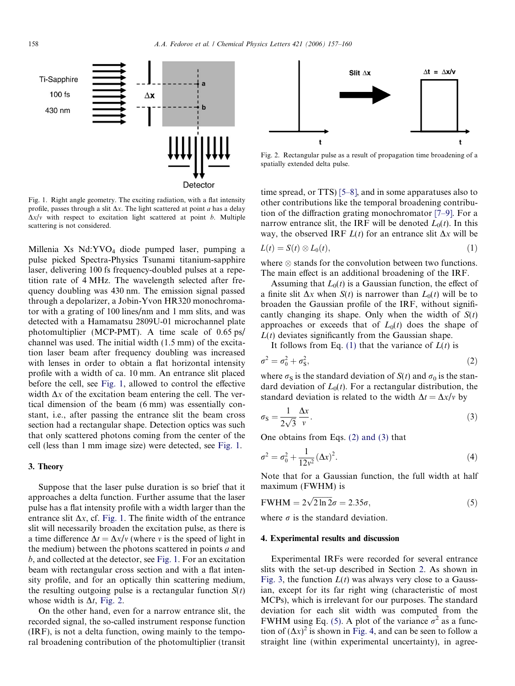<span id="page-1-0"></span>

Fig. 1. Right angle geometry. The exciting radiation, with a flat intensity profile, passes through a slit  $\Delta x$ . The light scattered at point a has a delay  $\Delta x/v$  with respect to excitation light scattered at point b. Multiple scattering is not considered.

Millenia Xs Nd:YVO4 diode pumped laser, pumping a pulse picked Spectra-Physics Tsunami titanium-sapphire laser, delivering 100 fs frequency-doubled pulses at a repetition rate of 4 MHz. The wavelength selected after frequency doubling was 430 nm. The emission signal passed through a depolarizer, a Jobin-Yvon HR320 monochromator with a grating of 100 lines/nm and 1 mm slits, and was detected with a Hamamatsu 2809U-01 microchannel plate photomultiplier (MCP-PMT). A time scale of 0.65 ps/ channel was used. The initial width (1.5 mm) of the excitation laser beam after frequency doubling was increased with lenses in order to obtain a flat horizontal intensity profile with a width of ca. 10 mm. An entrance slit placed before the cell, see Fig. 1, allowed to control the effective width  $\Delta x$  of the excitation beam entering the cell. The vertical dimension of the beam (6 mm) was essentially constant, i.e., after passing the entrance slit the beam cross section had a rectangular shape. Detection optics was such that only scattered photons coming from the center of the cell (less than 1 mm image size) were detected, see Fig. 1.

## 3. Theory

Suppose that the laser pulse duration is so brief that it approaches a delta function. Further assume that the laser pulse has a flat intensity profile with a width larger than the entrance slit  $\Delta x$ , cf. Fig. 1. The finite width of the entrance slit will necessarily broaden the excitation pulse, as there is a time difference  $\Delta t = \Delta x/v$  (where v is the speed of light in the medium) between the photons scattered in points  $a$  and b, and collected at the detector, see Fig. 1. For an excitation beam with rectangular cross section and with a flat intensity profile, and for an optically thin scattering medium, the resulting outgoing pulse is a rectangular function  $S(t)$ whose width is  $\Delta t$ , Fig. 2.

On the other hand, even for a narrow entrance slit, the recorded signal, the so-called instrument response function (IRF), is not a delta function, owing mainly to the temporal broadening contribution of the photomultiplier (transit



Fig. 2. Rectangular pulse as a result of propagation time broadening of a spatially extended delta pulse.

time spread, or TTS) [\[5–8\],](#page-3-0) and in some apparatuses also to other contributions like the temporal broadening contribution of the diffraction grating monochromator [\[7–9\]](#page-3-0). For a narrow entrance slit, the IRF will be denoted  $L_0(t)$ . In this way, the observed IRF  $L(t)$  for an entrance slit  $\Delta x$  will be

$$
L(t) = S(t) \otimes L_0(t), \qquad (1)
$$

where  $\otimes$  stands for the convolution between two functions. The main effect is an additional broadening of the IRF.

Assuming that  $L_0(t)$  is a Gaussian function, the effect of a finite slit  $\Delta x$  when  $S(t)$  is narrower than  $L_0(t)$  will be to broaden the Gaussian profile of the IRF, without significantly changing its shape. Only when the width of  $S(t)$ approaches or exceeds that of  $L_0(t)$  does the shape of  $L(t)$  deviates significantly from the Gaussian shape.

It follows from Eq. (1) that the variance of  $L(t)$  is

$$
\sigma^2 = \sigma_0^2 + \sigma_S^2,\tag{2}
$$

where  $\sigma_S$  is the standard deviation of  $S(t)$  and  $\sigma_0$  is the standard deviation of  $L_0(t)$ . For a rectangular distribution, the standard deviation is related to the width  $\Delta t = \Delta x/v$  by

$$
\sigma_{\rm S} = \frac{1}{2\sqrt{3}} \frac{\Delta x}{v}.
$$
\n(3)

One obtains from Eqs. (2) and (3) that

$$
\sigma^2 = \sigma_0^2 + \frac{1}{12v^2} (\Delta x)^2.
$$
 (4)

Note that for a Gaussian function, the full width at half maximum (FWHM) is

$$
FWHM = 2\sqrt{2\ln 2}\sigma = 2.35\sigma,\tag{5}
$$

where  $\sigma$  is the standard deviation.

#### 4. Experimental results and discussion

Experimental IRFs were recorded for several entrance slits with the set-up described in Section [2](#page-0-0). As shown in [Fig. 3,](#page-2-0) the function  $L(t)$  was always very close to a Gaussian, except for its far right wing (characteristic of most MCPs), which is irrelevant for our purposes. The standard deviation for each slit width was computed from the FWHM using Eq. (5). A plot of the variance  $\sigma^2$  as a function of  $(\Delta x)^2$  is shown in [Fig. 4](#page-2-0), and can be seen to follow a straight line (within experimental uncertainty), in agree-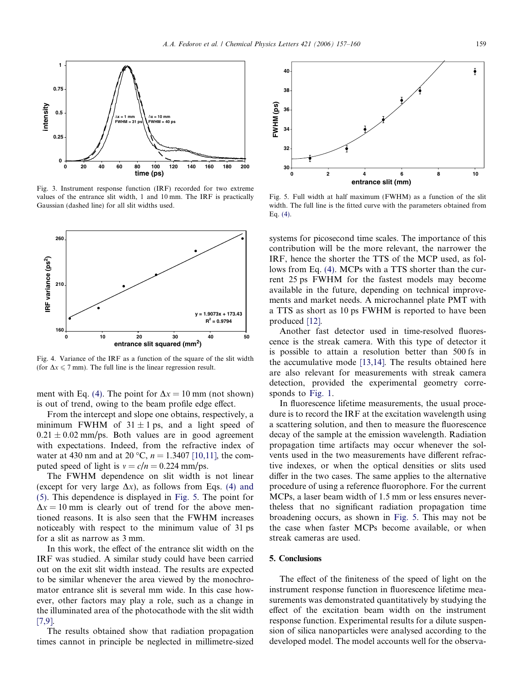<span id="page-2-0"></span>

Fig. 3. Instrument response function (IRF) recorded for two extreme values of the entrance slit width, 1 and 10 mm. The IRF is practically Gaussian (dashed line) for all slit widths used.



Fig. 4. Variance of the IRF as a function of the square of the slit width (for  $\Delta x \le 7$  mm). The full line is the linear regression result.

ment with Eq. [\(4\)](#page-1-0). The point for  $\Delta x = 10$  mm (not shown) is out of trend, owing to the beam profile edge effect.

From the intercept and slope one obtains, respectively, a minimum FWHM of  $31 \pm 1$  ps, and a light speed of  $0.21 \pm 0.02$  mm/ps. Both values are in good agreement with expectations. Indeed, from the refractive index of water at 430 nm and at 20 °C,  $n = 1.3407$  [\[10,11\]](#page-3-0), the computed speed of light is  $v = c/n = 0.224$  mm/ps.

The FWHM dependence on slit width is not linear (except for very large  $\Delta x$ ), as follows from Eqs. [\(4\) and](#page-1-0) [\(5\)](#page-1-0). This dependence is displayed in Fig. 5. The point for  $\Delta x = 10$  mm is clearly out of trend for the above mentioned reasons. It is also seen that the FWHM increases noticeably with respect to the minimum value of 31 ps for a slit as narrow as 3 mm.

In this work, the effect of the entrance slit width on the IRF was studied. A similar study could have been carried out on the exit slit width instead. The results are expected to be similar whenever the area viewed by the monochromator entrance slit is several mm wide. In this case however, other factors may play a role, such as a change in the illuminated area of the photocathode with the slit width [\[7,9\].](#page-3-0)

The results obtained show that radiation propagation times cannot in principle be neglected in millimetre-sized



Fig. 5. Full width at half maximum (FWHM) as a function of the slit width. The full line is the fitted curve with the parameters obtained from Eq. [\(4\)](#page-1-0).

systems for picosecond time scales. The importance of this contribution will be the more relevant, the narrower the IRF, hence the shorter the TTS of the MCP used, as follows from Eq. [\(4\).](#page-1-0) MCPs with a TTS shorter than the current 25 ps FWHM for the fastest models may become available in the future, depending on technical improvements and market needs. A microchannel plate PMT with a TTS as short as 10 ps FWHM is reported to have been produced [\[12\]](#page-3-0).

Another fast detector used in time-resolved fluorescence is the streak camera. With this type of detector it is possible to attain a resolution better than 500 fs in the accumulative mode [\[13,14\]](#page-3-0). The results obtained here are also relevant for measurements with streak camera detection, provided the experimental geometry corresponds to [Fig. 1.](#page-1-0)

In fluorescence lifetime measurements, the usual procedure is to record the IRF at the excitation wavelength using a scattering solution, and then to measure the fluorescence decay of the sample at the emission wavelength. Radiation propagation time artifacts may occur whenever the solvents used in the two measurements have different refractive indexes, or when the optical densities or slits used differ in the two cases. The same applies to the alternative procedure of using a reference fluorophore. For the current MCPs, a laser beam width of 1.5 mm or less ensures nevertheless that no significant radiation propagation time broadening occurs, as shown in Fig. 5. This may not be the case when faster MCPs become available, or when streak cameras are used.

# 5. Conclusions

The effect of the finiteness of the speed of light on the instrument response function in fluorescence lifetime measurements was demonstrated quantitatively by studying the effect of the excitation beam width on the instrument response function. Experimental results for a dilute suspension of silica nanoparticles were analysed according to the developed model. The model accounts well for the observa